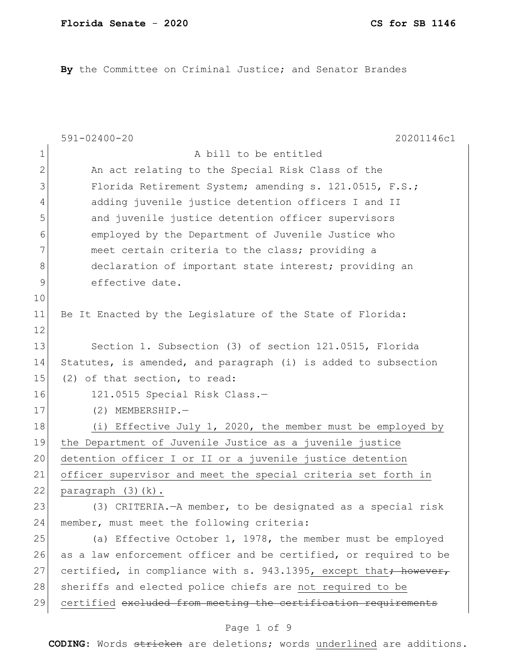**By** the Committee on Criminal Justice; and Senator Brandes

|                | $591 - 02400 - 20$<br>20201146c1                                             |
|----------------|------------------------------------------------------------------------------|
| $\mathbf 1$    | A bill to be entitled                                                        |
| $\overline{2}$ | An act relating to the Special Risk Class of the                             |
| 3              | Florida Retirement System; amending s. 121.0515, F.S.;                       |
| 4              | adding juvenile justice detention officers I and II                          |
| 5              | and juvenile justice detention officer supervisors                           |
| 6              | employed by the Department of Juvenile Justice who                           |
| 7              | meet certain criteria to the class; providing a                              |
| 8              | declaration of important state interest; providing an                        |
| 9              | effective date.                                                              |
| 10             |                                                                              |
| 11             | Be It Enacted by the Legislature of the State of Florida:                    |
| 12             |                                                                              |
| 13             | Section 1. Subsection (3) of section 121.0515, Florida                       |
| 14             | Statutes, is amended, and paragraph (i) is added to subsection               |
| 15             | (2) of that section, to read:                                                |
| 16             | 121.0515 Special Risk Class.-                                                |
| 17             | $(2)$ MEMBERSHIP.-                                                           |
| 18             | (i) Effective July 1, 2020, the member must be employed by                   |
| 19             | the Department of Juvenile Justice as a juvenile justice                     |
| 20             | detention officer I or II or a juvenile justice detention                    |
| 21             | officer supervisor and meet the special criteria set forth in                |
| 22             | paragraph $(3)$ $(k)$ .                                                      |
| 23             | (3) CRITERIA. - A member, to be designated as a special risk                 |
| 24             | member, must meet the following criteria:                                    |
| 25             | (a) Effective October 1, 1978, the member must be employed                   |
| 26             | as a law enforcement officer and be certified, or required to be             |
| 27             | certified, in compliance with s. 943.1395, except that <del>; however,</del> |
| 28             | sheriffs and elected police chiefs are not required to be                    |
| 29             | certified excluded from meeting the certification requirements               |
|                |                                                                              |

# Page 1 of 9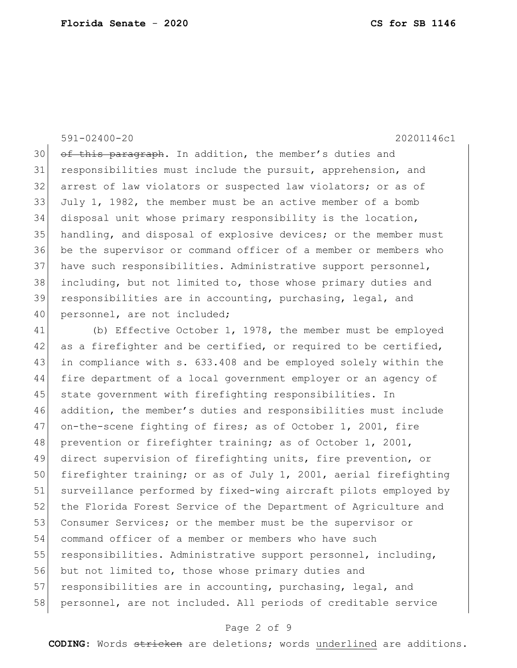### 591-02400-20 20201146c1

30 of this paragraph. In addition, the member's duties and responsibilities must include the pursuit, apprehension, and 32 arrest of law violators or suspected law violators; or as of July 1, 1982, the member must be an active member of a bomb disposal unit whose primary responsibility is the location, handling, and disposal of explosive devices; or the member must be the supervisor or command officer of a member or members who 37 have such responsibilities. Administrative support personnel, including, but not limited to, those whose primary duties and responsibilities are in accounting, purchasing, legal, and 40 personnel, are not included;

41 (b) Effective October 1, 1978, the member must be employed 42 as a firefighter and be certified, or required to be certified, 43 in compliance with s. 633.408 and be employed solely within the 44 fire department of a local government employer or an agency of 45 state government with firefighting responsibilities. In 46 addition, the member's duties and responsibilities must include 47 on-the-scene fighting of fires; as of October 1, 2001, fire 48 prevention or firefighter training; as of October 1, 2001, 49 direct supervision of firefighting units, fire prevention, or 50 firefighter training; or as of July 1, 2001, aerial firefighting 51 surveillance performed by fixed-wing aircraft pilots employed by 52 the Florida Forest Service of the Department of Agriculture and 53 Consumer Services; or the member must be the supervisor or 54 command officer of a member or members who have such 55 responsibilities. Administrative support personnel, including, 56 but not limited to, those whose primary duties and 57 responsibilities are in accounting, purchasing, legal, and 58 personnel, are not included. All periods of creditable service

## Page 2 of 9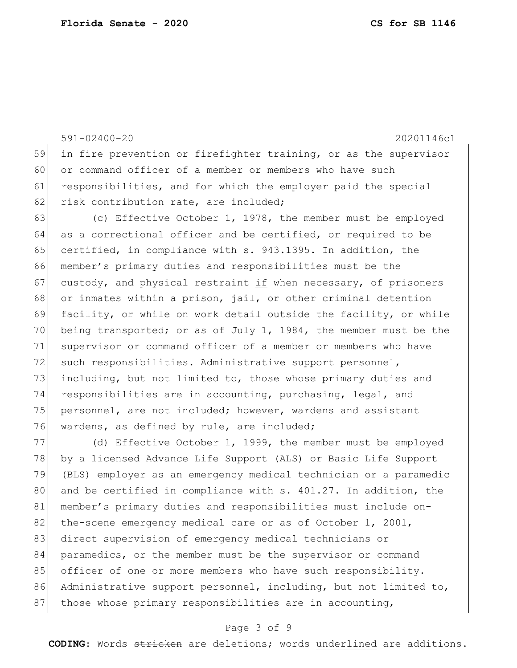591-02400-20 20201146c1 59 in fire prevention or firefighter training, or as the supervisor 60 or command officer of a member or members who have such 61 responsibilities, and for which the employer paid the special 62 risk contribution rate, are included; 63 (c) Effective October 1, 1978, the member must be employed 64 as a correctional officer and be certified, or required to be 65 certified, in compliance with s. 943.1395. In addition, the 66 member's primary duties and responsibilities must be the 67 custody, and physical restraint if when necessary, of prisoners 68 or inmates within a prison, jail, or other criminal detention 69 facility, or while on work detail outside the facility, or while 70 being transported; or as of July 1, 1984, the member must be the 71 supervisor or command officer of a member or members who have 72 such responsibilities. Administrative support personnel, 73 including, but not limited to, those whose primary duties and 74 responsibilities are in accounting, purchasing, legal, and 75 personnel, are not included; however, wardens and assistant 76 wardens, as defined by rule, are included; 77 (d) Effective October 1, 1999, the member must be employed

78 by a licensed Advance Life Support (ALS) or Basic Life Support 79 (BLS) employer as an emergency medical technician or a paramedic 80 and be certified in compliance with s. 401.27. In addition, the 81 member's primary duties and responsibilities must include on-82 the-scene emergency medical care or as of October 1, 2001, 83 direct supervision of emergency medical technicians or 84 paramedics, or the member must be the supervisor or command 85 officer of one or more members who have such responsibility. 86 Administrative support personnel, including, but not limited to, 87 those whose primary responsibilities are in accounting,

## Page 3 of 9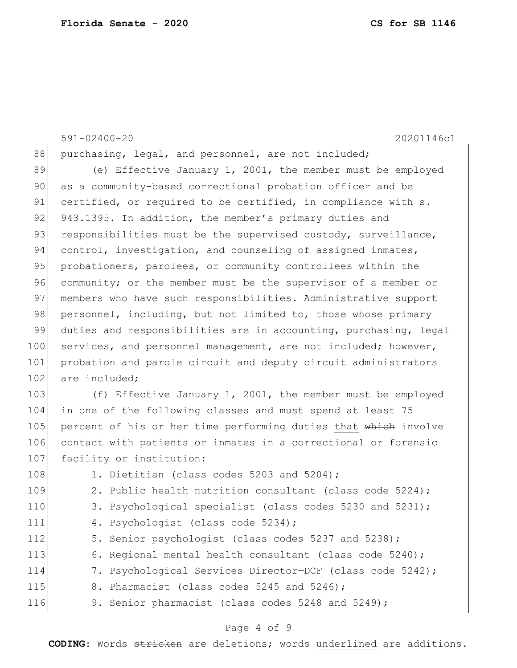591-02400-20 20201146c1 88 purchasing, legal, and personnel, are not included; 89 (e) Effective January 1, 2001, the member must be employed 90 as a community-based correctional probation officer and be 91 certified, or required to be certified, in compliance with s. 92 943.1395. In addition, the member's primary duties and 93 responsibilities must be the supervised custody, surveillance, 94 control, investigation, and counseling of assigned inmates, 95 probationers, parolees, or community controllees within the 96 community; or the member must be the supervisor of a member or 97 | members who have such responsibilities. Administrative support 98 personnel, including, but not limited to, those whose primary 99 duties and responsibilities are in accounting, purchasing, legal 100 services, and personnel management, are not included; however, 101 probation and parole circuit and deputy circuit administrators 102 are included: 103 (f) Effective January 1, 2001, the member must be employed 104 in one of the following classes and must spend at least 75 105 percent of his or her time performing duties that which involve 106 contact with patients or inmates in a correctional or forensic 107 facility or institution: 108 1. Dietitian (class codes 5203 and 5204); 109 2. Public health nutrition consultant (class code 5224); 110 3. Psychological specialist (class codes 5230 and 5231); 111 4. Psychologist (class code 5234); 112 5. Senior psychologist (class codes 5237 and 5238); 113 6. Regional mental health consultant (class code 5240); 114 7. Psychological Services Director-DCF (class code 5242); 115 8. Pharmacist (class codes 5245 and 5246); 116 9. Senior pharmacist (class codes 5248 and 5249);

## Page 4 of 9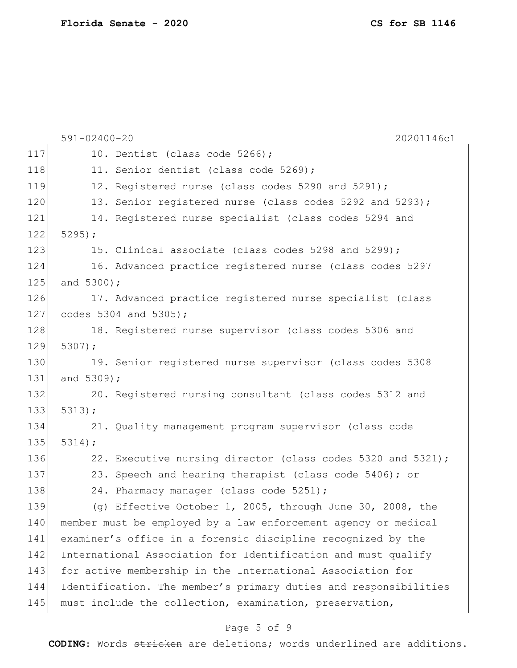|     | $591 - 02400 - 20$<br>20201146c1                                 |
|-----|------------------------------------------------------------------|
| 117 | 10. Dentist (class code 5266);                                   |
| 118 | 11. Senior dentist (class code 5269);                            |
| 119 | 12. Registered nurse (class codes 5290 and 5291);                |
| 120 | 13. Senior registered nurse (class codes 5292 and 5293);         |
| 121 | 14. Registered nurse specialist (class codes 5294 and            |
| 122 | $5295$ ;                                                         |
| 123 | 15. Clinical associate (class codes 5298 and 5299);              |
| 124 | 16. Advanced practice registered nurse (class codes 5297         |
| 125 | and $5300$ );                                                    |
| 126 | 17. Advanced practice registered nurse specialist (class         |
| 127 | codes 5304 and 5305);                                            |
| 128 | 18. Registered nurse supervisor (class codes 5306 and            |
| 129 | $5307$ ;                                                         |
| 130 | 19. Senior registered nurse supervisor (class codes 5308         |
| 131 | and 5309);                                                       |
| 132 | 20. Registered nursing consultant (class codes 5312 and          |
| 133 | 5313;                                                            |
| 134 | 21. Quality management program supervisor (class code            |
| 135 | 5314;                                                            |
| 136 | 22. Executive nursing director (class codes 5320 and 5321);      |
| 137 | 23. Speech and hearing therapist (class code 5406); or           |
| 138 | 24. Pharmacy manager (class code 5251);                          |
| 139 | (g) Effective October 1, 2005, through June 30, 2008, the        |
| 140 | member must be employed by a law enforcement agency or medical   |
| 141 | examiner's office in a forensic discipline recognized by the     |
| 142 | International Association for Identification and must qualify    |
| 143 | for active membership in the International Association for       |
| 144 | Identification. The member's primary duties and responsibilities |
| 145 | must include the collection, examination, preservation,          |
|     |                                                                  |

# Page 5 of 9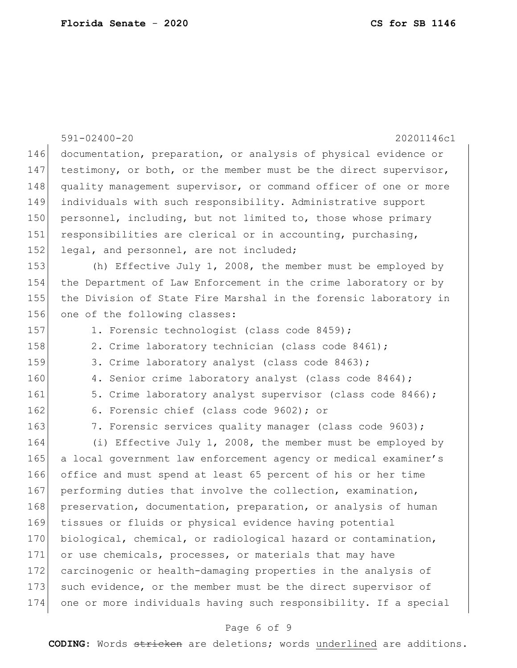|     | $591 - 02400 - 20$<br>20201146c1                                 |
|-----|------------------------------------------------------------------|
| 146 | documentation, preparation, or analysis of physical evidence or  |
| 147 | testimony, or both, or the member must be the direct supervisor, |
| 148 | quality management supervisor, or command officer of one or more |
| 149 | individuals with such responsibility. Administrative support     |
| 150 | personnel, including, but not limited to, those whose primary    |
| 151 | responsibilities are clerical or in accounting, purchasing,      |
| 152 | legal, and personnel, are not included;                          |
| 153 | (h) Effective July 1, 2008, the member must be employed by       |
| 154 | the Department of Law Enforcement in the crime laboratory or by  |
| 155 | the Division of State Fire Marshal in the forensic laboratory in |
| 156 | one of the following classes:                                    |
| 157 | 1. Forensic technologist (class code 8459);                      |
| 158 | 2. Crime laboratory technician (class code 8461);                |
| 159 | 3. Crime laboratory analyst (class code 8463);                   |
| 160 | 4. Senior crime laboratory analyst (class code 8464);            |
| 161 | 5. Crime laboratory analyst supervisor (class code 8466);        |
| 162 | 6. Forensic chief (class code 9602); or                          |
| 163 | 7. Forensic services quality manager (class code 9603);          |
| 164 | (i) Effective July 1, 2008, the member must be employed by       |
| 165 | a local government law enforcement agency or medical examiner's  |
| 166 | office and must spend at least 65 percent of his or her time     |
| 167 | performing duties that involve the collection, examination,      |
| 168 | preservation, documentation, preparation, or analysis of human   |
| 169 | tissues or fluids or physical evidence having potential          |
| 170 | biological, chemical, or radiological hazard or contamination,   |
| 171 | or use chemicals, processes, or materials that may have          |
| 172 | carcinogenic or health-damaging properties in the analysis of    |
| 173 | such evidence, or the member must be the direct supervisor of    |
| 174 | one or more individuals having such responsibility. If a special |

# Page 6 of 9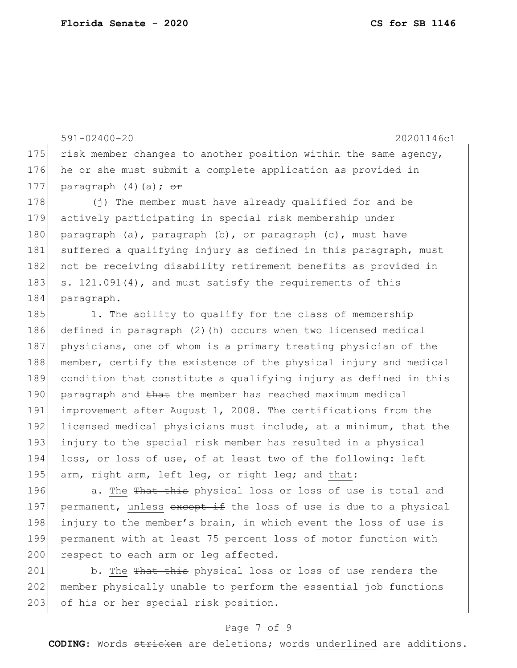591-02400-20 20201146c1 175 risk member changes to another position within the same agency, 176 he or she must submit a complete application as provided in 177 paragraph  $(4)(a)$ ;  $\theta$ r 178 (j) The member must have already qualified for and be 179 actively participating in special risk membership under 180 paragraph (a), paragraph  $(b)$ , or paragraph (c), must have 181 suffered a qualifying injury as defined in this paragraph, must 182 not be receiving disability retirement benefits as provided in 183 s. 121.091(4), and must satisfy the requirements of this 184 paragraph. 185 1. The ability to qualify for the class of membership 186 defined in paragraph (2)(h) occurs when two licensed medical 187 physicians, one of whom is a primary treating physician of the 188 member, certify the existence of the physical injury and medical 189 condition that constitute a qualifying injury as defined in this 190 paragraph and that the member has reached maximum medical 191 improvement after August 1, 2008. The certifications from the 192 licensed medical physicians must include, at a minimum, that the 193 injury to the special risk member has resulted in a physical

194 loss, or loss of use, of at least two of the following: left 195 arm, right arm, left leg, or right leg; and that:

196 a. The That this physical loss or loss of use is total and 197 permanent, unless except if the loss of use is due to a physical 198 injury to the member's brain, in which event the loss of use is 199 permanent with at least 75 percent loss of motor function with 200 respect to each arm or leg affected.

201 b. The That this physical loss or loss of use renders the 202 member physically unable to perform the essential job functions 203 of his or her special risk position.

## Page 7 of 9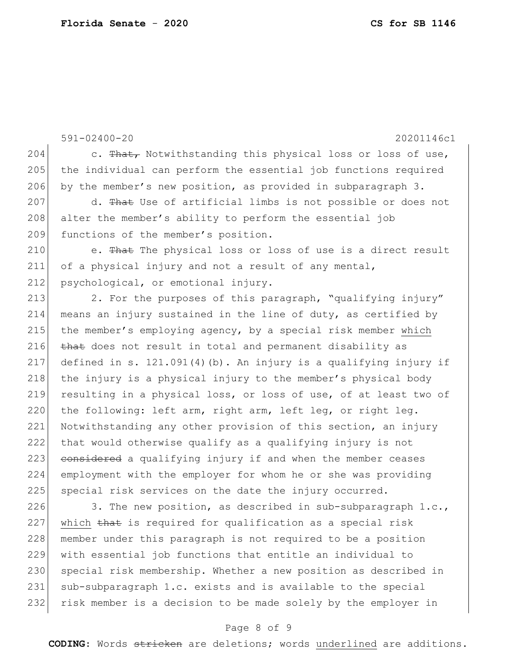591-02400-20 20201146c1 204 c. That, Notwithstanding this physical loss or loss of use, 205 the individual can perform the essential job functions required 206 by the member's new position, as provided in subparagraph  $3$ . 207 d. That Use of artificial limbs is not possible or does not 208 alter the member's ability to perform the essential job 209 functions of the member's position. 210 e. That The physical loss or loss of use is a direct result 211 of a physical injury and not a result of any mental, 212 psychological, or emotional injury. 213 2. For the purposes of this paragraph, "qualifying injury" 214 means an injury sustained in the line of duty, as certified by 215 the member's employing agency, by a special risk member which 216 that does not result in total and permanent disability as 217 defined in s. 121.091(4)(b). An injury is a qualifying injury if 218 the injury is a physical injury to the member's physical body 219 resulting in a physical loss, or loss of use, of at least two of 220 the following: left arm, right arm, left leg, or right leg. 221 Notwithstanding any other provision of this section, an injury 222 that would otherwise qualify as a qualifying injury is not 223 considered a qualifying injury if and when the member ceases 224 employment with the employer for whom he or she was providing 225 special risk services on the date the injury occurred. 226 3. The new position, as described in sub-subparagraph  $1.c.,$ 227 which that is required for qualification as a special risk 228 | member under this paragraph is not required to be a position

 with essential job functions that entitle an individual to 230 special risk membership. Whether a new position as described in sub-subparagraph 1.c. exists and is available to the special risk member is a decision to be made solely by the employer in

## Page 8 of 9